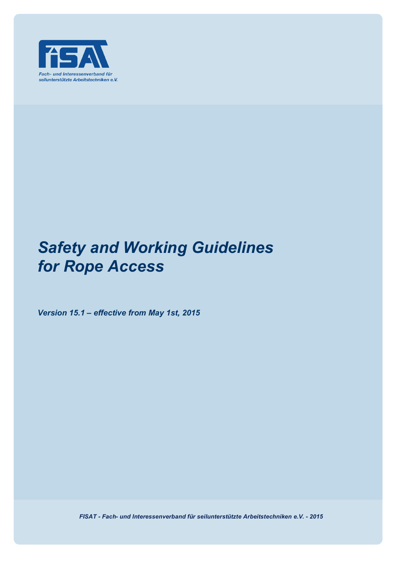

# *Safety and Working Guidelines for Rope Access*

*Version 15.1 – effective from May 1st, 2015*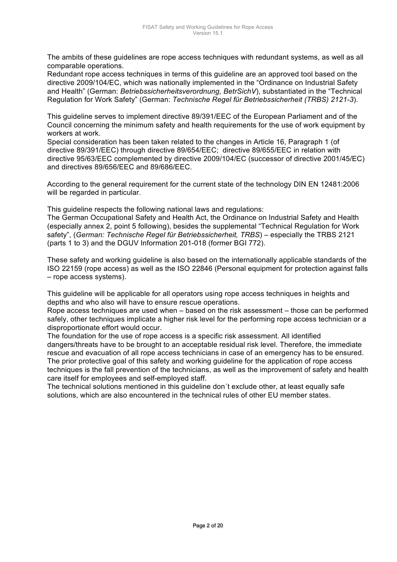The ambits of these guidelines are rope access techniques with redundant systems, as well as all comparable operations.

Redundant rope access techniques in terms of this guideline are an approved tool based on the directive 2009/104/EC, which was nationally implemented in the "Ordinance on Industrial Safety and Health" (German: *Betriebssicherheitsverordnung, BetrSichV*), substantiated in the "Technical Regulation for Work Safety" (German: *Technische Regel für Betriebssicherheit (TRBS) 2121-3*).

This guideline serves to implement directive 89/391/EEC of the European Parliament and of the Council concerning the minimum safety and health requirements for the use of work equipment by workers at work.

Special consideration has been taken related to the changes in Article 16, Paragraph 1 (of directive 89/391/EEC) through directive 89/654/EEC; directive 89/655/EEC in relation with directive 95/63/EEC complemented by directive 2009/104/EC (successor of directive 2001/45/EC) and directives 89/656/EEC and 89/686/EEC.

According to the general requirement for the current state of the technology DIN EN 12481:2006 will be regarded in particular.

This guideline respects the following national laws and regulations:

The German Occupational Safety and Health Act, the Ordinance on Industrial Safety and Health (especially annex 2, point 5 following), besides the supplemental "Technical Regulation for Work safety", (*German: Technische Regel für Betriebssicherheit, TRBS*) – especially the TRBS 2121 (parts 1 to 3) and the DGUV Information 201-018 (former BGI 772).

These safety and working guideline is also based on the internationally applicable standards of the ISO 22159 (rope access) as well as the ISO 22846 (Personal equipment for protection against falls – rope access systems).

This guideline will be applicable for all operators using rope access techniques in heights and depths and who also will have to ensure rescue operations.

Rope access techniques are used when – based on the risk assessment – those can be performed safely, other techniques implicate a higher risk level for the performing rope access technician or a disproportionate effort would occur.

The foundation for the use of rope access is a specific risk assessment. All identified dangers/threats have to be brought to an acceptable residual risk level. Therefore, the immediate rescue and evacuation of all rope access technicians in case of an emergency has to be ensured. The prior protective goal of this safety and working guideline for the application of rope access techniques is the fall prevention of the technicians, as well as the improvement of safety and health care itself for employees and self-employed staff.

The technical solutions mentioned in this guideline don´t exclude other, at least equally safe solutions, which are also encountered in the technical rules of other EU member states.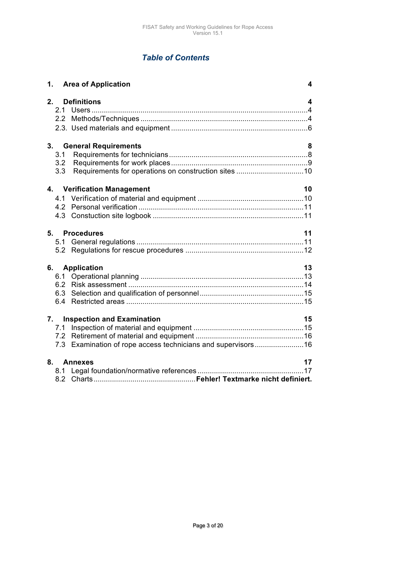# *Table of Contents*

| 1. Area of Application                                       | 4  |
|--------------------------------------------------------------|----|
| 2.<br><b>Definitions</b>                                     | 4  |
|                                                              |    |
|                                                              |    |
|                                                              |    |
| 3. General Requirements                                      | 8  |
| 3.1                                                          |    |
| 3.2                                                          |    |
| 3.3                                                          |    |
| 4. Verification Management                                   | 10 |
|                                                              |    |
|                                                              |    |
|                                                              |    |
| 5. Procedures                                                | 11 |
|                                                              |    |
|                                                              |    |
| 6. Application                                               | 13 |
|                                                              |    |
|                                                              |    |
|                                                              |    |
|                                                              |    |
| 7.<br><b>Inspection and Examination</b>                      | 15 |
|                                                              |    |
|                                                              |    |
| 7.3 Examination of rope access technicians and supervisors16 |    |
| 8. Annexes                                                   | 17 |
|                                                              |    |
|                                                              |    |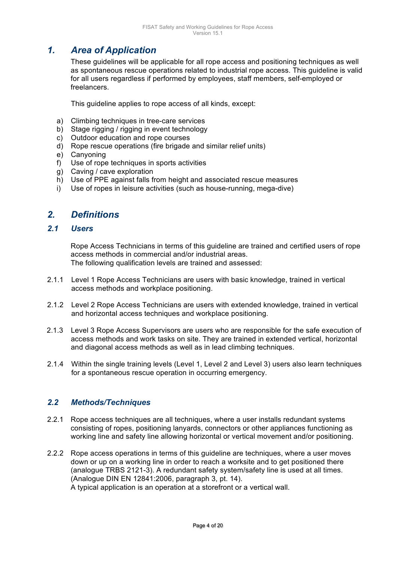# *1. Area of Application*

These guidelines will be applicable for all rope access and positioning techniques as well as spontaneous rescue operations related to industrial rope access. This guideline is valid for all users regardless if performed by employees, staff members, self-employed or freelancers.

This guideline applies to rope access of all kinds, except:

- a) Climbing techniques in tree-care services
- b) Stage rigging / rigging in event technology
- c) Outdoor education and rope courses
- d) Rope rescue operations (fire brigade and similar relief units)
- e) Canyoning
- f) Use of rope techniques in sports activities
- g) Caving / cave exploration
- h) Use of PPE against falls from height and associated rescue measures
- i) Use of ropes in leisure activities (such as house-running, mega-dive)

# *2. Definitions*

## *2.1 Users*

Rope Access Technicians in terms of this guideline are trained and certified users of rope access methods in commercial and/or industrial areas. The following qualification levels are trained and assessed:

- 2.1.1 Level 1 Rope Access Technicians are users with basic knowledge, trained in vertical access methods and workplace positioning.
- 2.1.2 Level 2 Rope Access Technicians are users with extended knowledge, trained in vertical and horizontal access techniques and workplace positioning.
- 2.1.3 Level 3 Rope Access Supervisors are users who are responsible for the safe execution of access methods and work tasks on site. They are trained in extended vertical, horizontal and diagonal access methods as well as in lead climbing techniques.
- 2.1.4 Within the single training levels (Level 1, Level 2 and Level 3) users also learn techniques for a spontaneous rescue operation in occurring emergency.

#### *2.2 Methods/Techniques*

- 2.2.1 Rope access techniques are all techniques, where a user installs redundant systems consisting of ropes, positioning lanyards, connectors or other appliances functioning as working line and safety line allowing horizontal or vertical movement and/or positioning.
- 2.2.2 Rope access operations in terms of this guideline are techniques, where a user moves down or up on a working line in order to reach a worksite and to get positioned there (analogue TRBS 2121-3). A redundant safety system/safety line is used at all times. (Analogue DIN EN 12841:2006, paragraph 3, pt. 14). A typical application is an operation at a storefront or a vertical wall.

Page 4 of 20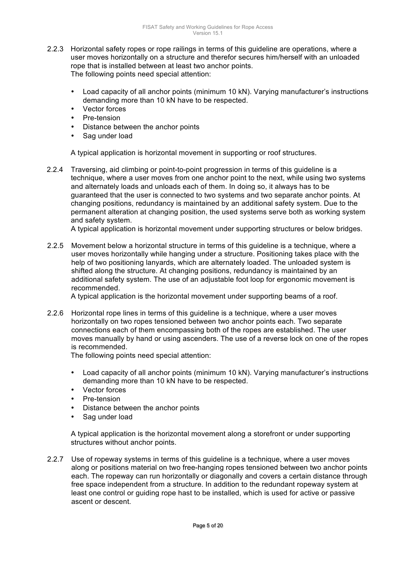- 2.2.3 Horizontal safety ropes or rope railings in terms of this guideline are operations, where a user moves horizontally on a structure and therefor secures him/herself with an unloaded rope that is installed between at least two anchor points. The following points need special attention:
	- Load capacity of all anchor points (minimum 10 kN). Varying manufacturer's instructions demanding more than 10 kN have to be respected.
	- Vector forces
	- Pre-tension
	- Distance between the anchor points
	- Sag under load

A typical application is horizontal movement in supporting or roof structures.

2.2.4 Traversing, aid climbing or point-to-point progression in terms of this guideline is a technique, where a user moves from one anchor point to the next, while using two systems and alternately loads and unloads each of them. In doing so, it always has to be guaranteed that the user is connected to two systems and two separate anchor points. At changing positions, redundancy is maintained by an additional safety system. Due to the permanent alteration at changing position, the used systems serve both as working system and safety system.

A typical application is horizontal movement under supporting structures or below bridges.

2.2.5 Movement below a horizontal structure in terms of this guideline is a technique, where a user moves horizontally while hanging under a structure. Positioning takes place with the help of two positioning lanyards, which are alternately loaded. The unloaded system is shifted along the structure. At changing positions, redundancy is maintained by an additional safety system. The use of an adjustable foot loop for ergonomic movement is recommended.

A typical application is the horizontal movement under supporting beams of a roof.

2.2.6 Horizontal rope lines in terms of this guideline is a technique, where a user moves horizontally on two ropes tensioned between two anchor points each. Two separate connections each of them encompassing both of the ropes are established. The user moves manually by hand or using ascenders. The use of a reverse lock on one of the ropes is recommended.

The following points need special attention:

- Load capacity of all anchor points (minimum 10 kN). Varying manufacturer's instructions demanding more than 10 kN have to be respected.
- Vector forces
- Pre-tension
- Distance between the anchor points
- Sag under load

A typical application is the horizontal movement along a storefront or under supporting structures without anchor points.

2.2.7 Use of ropeway systems in terms of this guideline is a technique, where a user moves along or positions material on two free-hanging ropes tensioned between two anchor points each. The ropeway can run horizontally or diagonally and covers a certain distance through free space independent from a structure. In addition to the redundant ropeway system at least one control or guiding rope hast to be installed, which is used for active or passive ascent or descent.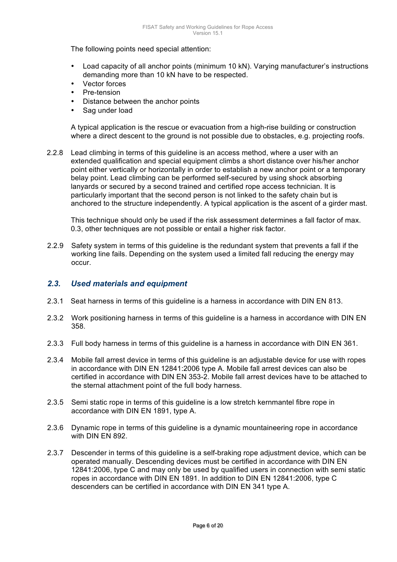The following points need special attention:

- Load capacity of all anchor points (minimum 10 kN). Varying manufacturer's instructions demanding more than 10 kN have to be respected.
- Vector forces
- Pre-tension
- Distance between the anchor points
- Sag under load

A typical application is the rescue or evacuation from a high-rise building or construction where a direct descent to the ground is not possible due to obstacles, e.g. projecting roofs.

2.2.8 Lead climbing in terms of this guideline is an access method, where a user with an extended qualification and special equipment climbs a short distance over his/her anchor point either vertically or horizontally in order to establish a new anchor point or a temporary belay point. Lead climbing can be performed self-secured by using shock absorbing lanyards or secured by a second trained and certified rope access technician. It is particularly important that the second person is not linked to the safety chain but is anchored to the structure independently. A typical application is the ascent of a girder mast.

This technique should only be used if the risk assessment determines a fall factor of max. 0.3, other techniques are not possible or entail a higher risk factor.

2.2.9 Safety system in terms of this guideline is the redundant system that prevents a fall if the working line fails. Depending on the system used a limited fall reducing the energy may occur.

## *2.3. Used materials and equipment*

- 2.3.1 Seat harness in terms of this guideline is a harness in accordance with DIN EN 813.
- 2.3.2 Work positioning harness in terms of this guideline is a harness in accordance with DIN EN 358.
- 2.3.3 Full body harness in terms of this guideline is a harness in accordance with DIN EN 361.
- 2.3.4 Mobile fall arrest device in terms of this guideline is an adjustable device for use with ropes in accordance with DIN EN 12841:2006 type A. Mobile fall arrest devices can also be certified in accordance with DIN EN 353-2. Mobile fall arrest devices have to be attached to the sternal attachment point of the full body harness.
- 2.3.5 Semi static rope in terms of this guideline is a low stretch kernmantel fibre rope in accordance with DIN EN 1891, type A.
- 2.3.6 Dynamic rope in terms of this guideline is a dynamic mountaineering rope in accordance with DIN EN 892.
- 2.3.7 Descender in terms of this guideline is a self-braking rope adjustment device, which can be operated manually. Descending devices must be certified in accordance with DIN EN 12841:2006, type C and may only be used by qualified users in connection with semi static ropes in accordance with DIN EN 1891. In addition to DIN EN 12841:2006, type C descenders can be certified in accordance with DIN EN 341 type A.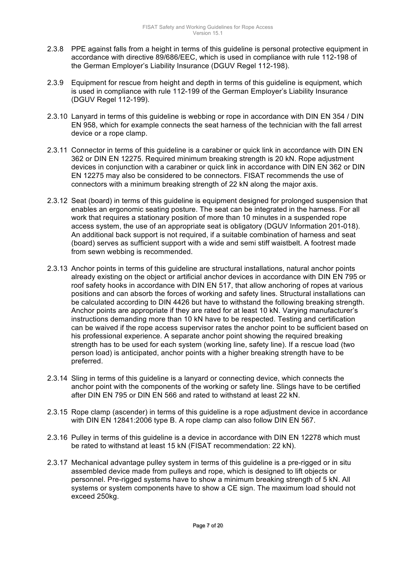- 2.3.8 PPE against falls from a height in terms of this guideline is personal protective equipment in accordance with directive 89/686/EEC, which is used in compliance with rule 112-198 of the German Employer's Liability Insurance (DGUV Regel 112-198).
- 2.3.9 Equipment for rescue from height and depth in terms of this guideline is equipment, which is used in compliance with rule 112-199 of the German Employer's Liability Insurance (DGUV Regel 112-199).
- 2.3.10 Lanyard in terms of this guideline is webbing or rope in accordance with DIN EN 354 / DIN EN 958, which for example connects the seat harness of the technician with the fall arrest device or a rope clamp.
- 2.3.11 Connector in terms of this guideline is a carabiner or quick link in accordance with DIN EN 362 or DIN EN 12275. Required minimum breaking strength is 20 kN. Rope adjustment devices in conjunction with a carabiner or quick link in accordance with DIN EN 362 or DIN EN 12275 may also be considered to be connectors. FISAT recommends the use of connectors with a minimum breaking strength of 22 kN along the major axis.
- 2.3.12 Seat (board) in terms of this guideline is equipment designed for prolonged suspension that enables an ergonomic seating posture. The seat can be integrated in the harness. For all work that requires a stationary position of more than 10 minutes in a suspended rope access system, the use of an appropriate seat is obligatory (DGUV Information 201-018). An additional back support is not required, if a suitable combination of harness and seat (board) serves as sufficient support with a wide and semi stiff waistbelt. A footrest made from sewn webbing is recommended.
- 2.3.13 Anchor points in terms of this guideline are structural installations, natural anchor points already existing on the object or artificial anchor devices in accordance with DIN EN 795 or roof safety hooks in accordance with DIN EN 517, that allow anchoring of ropes at various positions and can absorb the forces of working and safety lines. Structural installations can be calculated according to DIN 4426 but have to withstand the following breaking strength. Anchor points are appropriate if they are rated for at least 10 kN. Varying manufacturer's instructions demanding more than 10 kN have to be respected. Testing and certification can be waived if the rope access supervisor rates the anchor point to be sufficient based on his professional experience. A separate anchor point showing the required breaking strength has to be used for each system (working line, safety line). If a rescue load (two person load) is anticipated, anchor points with a higher breaking strength have to be preferred.
- 2.3.14 Sling in terms of this guideline is a lanyard or connecting device, which connects the anchor point with the components of the working or safety line. Slings have to be certified after DIN EN 795 or DIN EN 566 and rated to withstand at least 22 kN.
- 2.3.15 Rope clamp (ascender) in terms of this guideline is a rope adjustment device in accordance with DIN EN 12841:2006 type B. A rope clamp can also follow DIN EN 567.
- 2.3.16 Pulley in terms of this guideline is a device in accordance with DIN EN 12278 which must be rated to withstand at least 15 kN (FISAT recommendation: 22 kN).
- 2.3.17 Mechanical advantage pulley system in terms of this guideline is a pre-rigged or in situ assembled device made from pulleys and rope, which is designed to lift objects or personnel. Pre-rigged systems have to show a minimum breaking strength of 5 kN. All systems or system components have to show a CE sign. The maximum load should not exceed 250kg.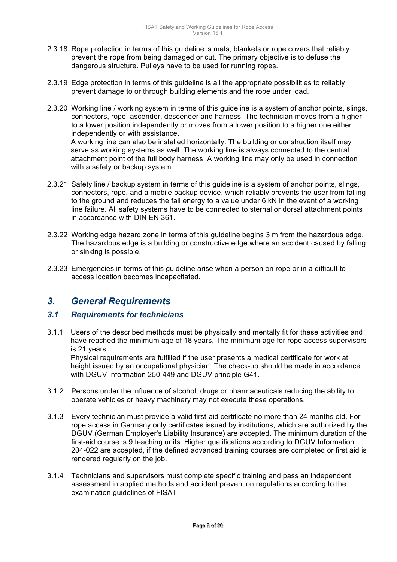- 2.3.18 Rope protection in terms of this guideline is mats, blankets or rope covers that reliably prevent the rope from being damaged or cut. The primary objective is to defuse the dangerous structure. Pulleys have to be used for running ropes.
- 2.3.19 Edge protection in terms of this guideline is all the appropriate possibilities to reliably prevent damage to or through building elements and the rope under load.
- 2.3.20 Working line / working system in terms of this guideline is a system of anchor points, slings, connectors, rope, ascender, descender and harness. The technician moves from a higher to a lower position independently or moves from a lower position to a higher one either independently or with assistance. A working line can also be installed horizontally. The building or construction itself may serve as working systems as well. The working line is always connected to the central attachment point of the full body harness. A working line may only be used in connection with a safety or backup system.
- 2.3.21 Safety line / backup system in terms of this guideline is a system of anchor points, slings, connectors, rope, and a mobile backup device, which reliably prevents the user from falling to the ground and reduces the fall energy to a value under 6 kN in the event of a working line failure. All safety systems have to be connected to sternal or dorsal attachment points in accordance with DIN EN 361.
- 2.3.22 Working edge hazard zone in terms of this guideline begins 3 m from the hazardous edge. The hazardous edge is a building or constructive edge where an accident caused by falling or sinking is possible.
- 2.3.23 Emergencies in terms of this guideline arise when a person on rope or in a difficult to access location becomes incapacitated.

# *3. General Requirements*

## *3.1 Requirements for technicians*

3.1.1 Users of the described methods must be physically and mentally fit for these activities and have reached the minimum age of 18 years. The minimum age for rope access supervisors is 21 years.

Physical requirements are fulfilled if the user presents a medical certificate for work at height issued by an occupational physician. The check-up should be made in accordance with DGUV Information 250-449 and DGUV principle G41.

- 3.1.2 Persons under the influence of alcohol, drugs or pharmaceuticals reducing the ability to operate vehicles or heavy machinery may not execute these operations.
- 3.1.3 Every technician must provide a valid first-aid certificate no more than 24 months old. For rope access in Germany only certificates issued by institutions, which are authorized by the DGUV (German Employer's Liability Insurance) are accepted. The minimum duration of the first-aid course is 9 teaching units. Higher qualifications according to DGUV Information 204-022 are accepted, if the defined advanced training courses are completed or first aid is rendered regularly on the job.
- 3.1.4 Technicians and supervisors must complete specific training and pass an independent assessment in applied methods and accident prevention regulations according to the examination guidelines of FISAT.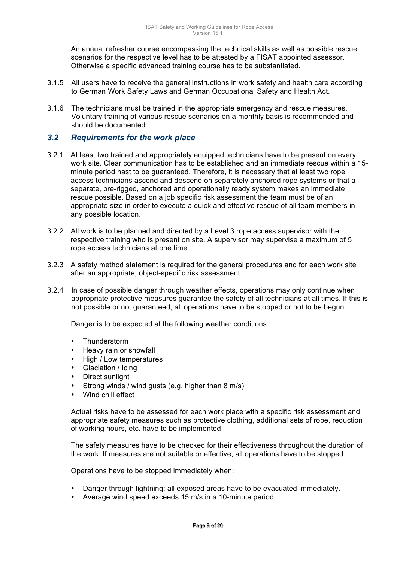An annual refresher course encompassing the technical skills as well as possible rescue scenarios for the respective level has to be attested by a FISAT appointed assessor. Otherwise a specific advanced training course has to be substantiated.

- 3.1.5 All users have to receive the general instructions in work safety and health care according to German Work Safety Laws and German Occupational Safety and Health Act.
- 3.1.6 The technicians must be trained in the appropriate emergency and rescue measures. Voluntary training of various rescue scenarios on a monthly basis is recommended and should be documented.

## *3.2 Requirements for the work place*

- 3.2.1 At least two trained and appropriately equipped technicians have to be present on every work site. Clear communication has to be established and an immediate rescue within a 15 minute period hast to be guaranteed. Therefore, it is necessary that at least two rope access technicians ascend and descend on separately anchored rope systems or that a separate, pre-rigged, anchored and operationally ready system makes an immediate rescue possible. Based on a job specific risk assessment the team must be of an appropriate size in order to execute a quick and effective rescue of all team members in any possible location.
- 3.2.2 All work is to be planned and directed by a Level 3 rope access supervisor with the respective training who is present on site. A supervisor may supervise a maximum of 5 rope access technicians at one time.
- 3.2.3 A safety method statement is required for the general procedures and for each work site after an appropriate, object-specific risk assessment.
- 3.2.4 In case of possible danger through weather effects, operations may only continue when appropriate protective measures guarantee the safety of all technicians at all times. If this is not possible or not guaranteed, all operations have to be stopped or not to be begun.

Danger is to be expected at the following weather conditions:

- Thunderstorm
- Heavy rain or snowfall
- High / Low temperatures
- Glaciation / Icing
- Direct sunlight
- Strong winds / wind gusts (e.g. higher than 8 m/s)
- Wind chill effect

Actual risks have to be assessed for each work place with a specific risk assessment and appropriate safety measures such as protective clothing, additional sets of rope, reduction of working hours, etc. have to be implemented.

The safety measures have to be checked for their effectiveness throughout the duration of the work. If measures are not suitable or effective, all operations have to be stopped.

Operations have to be stopped immediately when:

- Danger through lightning: all exposed areas have to be evacuated immediately.
- Average wind speed exceeds 15 m/s in a 10-minute period.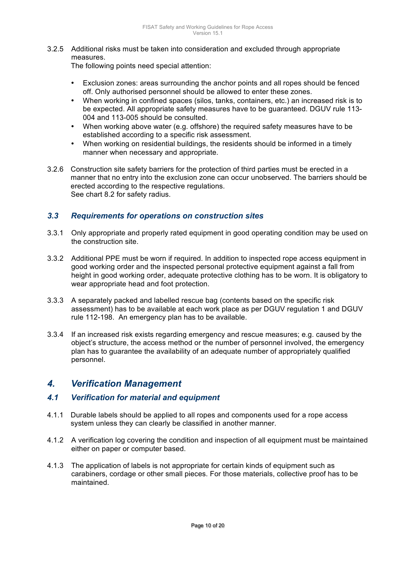3.2.5 Additional risks must be taken into consideration and excluded through appropriate measures.

The following points need special attention:

- Exclusion zones: areas surrounding the anchor points and all ropes should be fenced off. Only authorised personnel should be allowed to enter these zones.
- When working in confined spaces (silos, tanks, containers, etc.) an increased risk is to be expected. All appropriate safety measures have to be guaranteed. DGUV rule 113- 004 and 113-005 should be consulted.
- When working above water (e.g. offshore) the required safety measures have to be established according to a specific risk assessment.
- When working on residential buildings, the residents should be informed in a timely manner when necessary and appropriate.
- 3.2.6 Construction site safety barriers for the protection of third parties must be erected in a manner that no entry into the exclusion zone can occur unobserved. The barriers should be erected according to the respective regulations. See chart 8.2 for safety radius.

## *3.3 Requirements for operations on construction sites*

- 3.3.1 Only appropriate and properly rated equipment in good operating condition may be used on the construction site.
- 3.3.2 Additional PPE must be worn if required. In addition to inspected rope access equipment in good working order and the inspected personal protective equipment against a fall from height in good working order, adequate protective clothing has to be worn. It is obligatory to wear appropriate head and foot protection.
- 3.3.3 A separately packed and labelled rescue bag (contents based on the specific risk assessment) has to be available at each work place as per DGUV regulation 1 and DGUV rule 112-198. An emergency plan has to be available.
- 3.3.4 If an increased risk exists regarding emergency and rescue measures; e.g. caused by the object's structure, the access method or the number of personnel involved, the emergency plan has to guarantee the availability of an adequate number of appropriately qualified personnel.

# *4. Verification Management*

## *4.1 Verification for material and equipment*

- 4.1.1 Durable labels should be applied to all ropes and components used for a rope access system unless they can clearly be classified in another manner.
- 4.1.2 A verification log covering the condition and inspection of all equipment must be maintained either on paper or computer based.
- 4.1.3 The application of labels is not appropriate for certain kinds of equipment such as carabiners, cordage or other small pieces. For those materials, collective proof has to be maintained.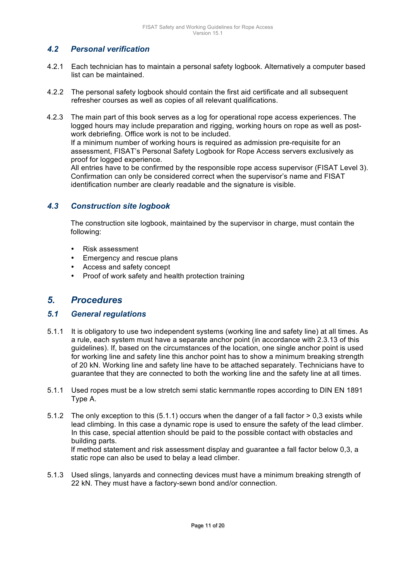## *4.2 Personal verification*

- 4.2.1 Each technician has to maintain a personal safety logbook. Alternatively a computer based list can be maintained.
- 4.2.2 The personal safety logbook should contain the first aid certificate and all subsequent refresher courses as well as copies of all relevant qualifications.
- 4.2.3 The main part of this book serves as a log for operational rope access experiences. The logged hours may include preparation and rigging, working hours on rope as well as postwork debriefing. Office work is not to be included.

If a minimum number of working hours is required as admission pre-requisite for an assessment, FISAT's Personal Safety Logbook for Rope Access servers exclusively as proof for logged experience.

All entries have to be confirmed by the responsible rope access supervisor (FISAT Level 3). Confirmation can only be considered correct when the supervisor's name and FISAT identification number are clearly readable and the signature is visible.

## *4.3 Construction site logbook*

The construction site logbook, maintained by the supervisor in charge, must contain the following:

- Risk assessment
- Emergency and rescue plans
- Access and safety concept
- Proof of work safety and health protection training

# *5. Procedures*

#### *5.1 General regulations*

- 5.1.1 It is obligatory to use two independent systems (working line and safety line) at all times. As a rule, each system must have a separate anchor point (in accordance with 2.3.13 of this guidelines). If, based on the circumstances of the location, one single anchor point is used for working line and safety line this anchor point has to show a minimum breaking strength of 20 kN. Working line and safety line have to be attached separately. Technicians have to guarantee that they are connected to both the working line and the safety line at all times.
- 5.1.1 Used ropes must be a low stretch semi static kernmantle ropes according to DIN EN 1891 Type A.
- 5.1.2 The only exception to this (5.1.1) occurs when the danger of a fall factor > 0,3 exists while lead climbing. In this case a dynamic rope is used to ensure the safety of the lead climber. In this case, special attention should be paid to the possible contact with obstacles and building parts. If method statement and risk assessment display and guarantee a fall factor below 0,3, a static rope can also be used to belay a lead climber.
- 5.1.3 Used slings, lanyards and connecting devices must have a minimum breaking strength of 22 kN. They must have a factory-sewn bond and/or connection.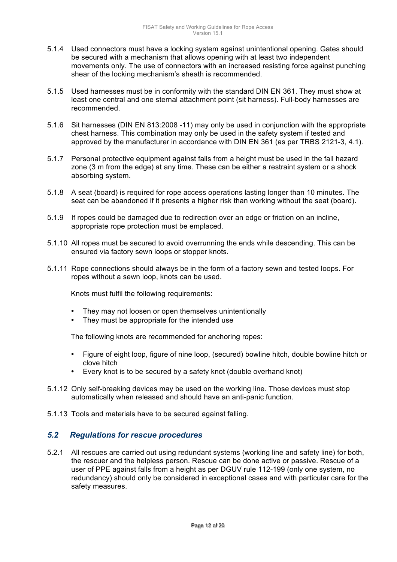- 5.1.4 Used connectors must have a locking system against unintentional opening. Gates should be secured with a mechanism that allows opening with at least two independent movements only. The use of connectors with an increased resisting force against punching shear of the locking mechanism's sheath is recommended.
- 5.1.5 Used harnesses must be in conformity with the standard DIN EN 361. They must show at least one central and one sternal attachment point (sit harness). Full-body harnesses are recommended.
- 5.1.6 Sit harnesses (DIN EN 813:2008 -11) may only be used in conjunction with the appropriate chest harness. This combination may only be used in the safety system if tested and approved by the manufacturer in accordance with DIN EN 361 (as per TRBS 2121-3, 4.1).
- 5.1.7 Personal protective equipment against falls from a height must be used in the fall hazard zone (3 m from the edge) at any time. These can be either a restraint system or a shock absorbing system.
- 5.1.8 A seat (board) is required for rope access operations lasting longer than 10 minutes. The seat can be abandoned if it presents a higher risk than working without the seat (board).
- 5.1.9 If ropes could be damaged due to redirection over an edge or friction on an incline, appropriate rope protection must be emplaced.
- 5.1.10 All ropes must be secured to avoid overrunning the ends while descending. This can be ensured via factory sewn loops or stopper knots.
- 5.1.11 Rope connections should always be in the form of a factory sewn and tested loops. For ropes without a sewn loop, knots can be used.

Knots must fulfil the following requirements:

- They may not loosen or open themselves unintentionally
- They must be appropriate for the intended use

The following knots are recommended for anchoring ropes:

- Figure of eight loop, figure of nine loop, (secured) bowline hitch, double bowline hitch or clove hitch
- Every knot is to be secured by a safety knot (double overhand knot)
- 5.1.12 Only self-breaking devices may be used on the working line. Those devices must stop automatically when released and should have an anti-panic function.
- 5.1.13 Tools and materials have to be secured against falling.

#### *5.2 Regulations for rescue procedures*

5.2.1 All rescues are carried out using redundant systems (working line and safety line) for both, the rescuer and the helpless person. Rescue can be done active or passive. Rescue of a user of PPE against falls from a height as per DGUV rule 112-199 (only one system, no redundancy) should only be considered in exceptional cases and with particular care for the safety measures.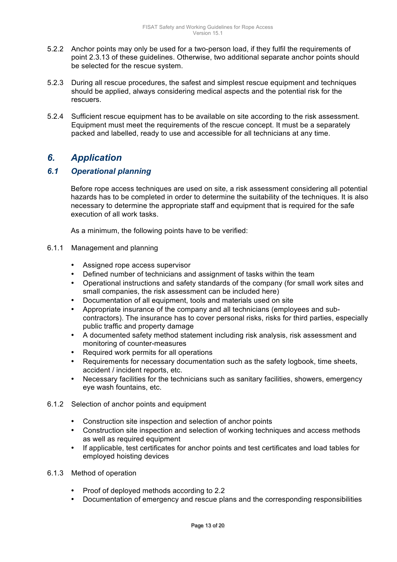- 5.2.2 Anchor points may only be used for a two-person load, if they fulfil the requirements of point 2.3.13 of these guidelines. Otherwise, two additional separate anchor points should be selected for the rescue system.
- 5.2.3 During all rescue procedures, the safest and simplest rescue equipment and techniques should be applied, always considering medical aspects and the potential risk for the rescuers.
- 5.2.4 Sufficient rescue equipment has to be available on site according to the risk assessment. Equipment must meet the requirements of the rescue concept. It must be a separately packed and labelled, ready to use and accessible for all technicians at any time.

# *6. Application*

# *6.1 Operational planning*

Before rope access techniques are used on site, a risk assessment considering all potential hazards has to be completed in order to determine the suitability of the techniques. It is also necessary to determine the appropriate staff and equipment that is required for the safe execution of all work tasks.

As a minimum, the following points have to be verified:

- 6.1.1 Management and planning
	- Assigned rope access supervisor
	- Defined number of technicians and assignment of tasks within the team
	- Operational instructions and safety standards of the company (for small work sites and small companies, the risk assessment can be included here)
	- Documentation of all equipment, tools and materials used on site
	- Appropriate insurance of the company and all technicians (employees and subcontractors). The insurance has to cover personal risks, risks for third parties, especially public traffic and property damage
	- A documented safety method statement including risk analysis, risk assessment and monitoring of counter-measures
	- Required work permits for all operations
	- Requirements for necessary documentation such as the safety logbook, time sheets, accident / incident reports, etc.
	- Necessary facilities for the technicians such as sanitary facilities, showers, emergency eye wash fountains, etc.
- 6.1.2 Selection of anchor points and equipment
	- Construction site inspection and selection of anchor points
	- Construction site inspection and selection of working techniques and access methods as well as required equipment
	- If applicable, test certificates for anchor points and test certificates and load tables for employed hoisting devices
- 6.1.3 Method of operation
	- Proof of deployed methods according to 2.2
	- Documentation of emergency and rescue plans and the corresponding responsibilities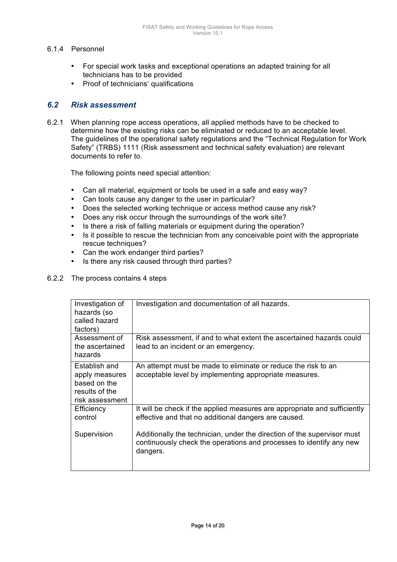## 6.1.4 Personnel

- For special work tasks and exceptional operations an adapted training for all technicians has to be provided
- Proof of technicians' qualifications

## *6.2 Risk assessment*

6.2.1 When planning rope access operations, all applied methods have to be checked to determine how the existing risks can be eliminated or reduced to an acceptable level. The guidelines of the operational safety regulations and the "Technical Regulation for Work Safety" (TRBS) 1111 (Risk assessment and technical safety evaluation) are relevant documents to refer to.

The following points need special attention:

- Can all material, equipment or tools be used in a safe and easy way?
- Can tools cause any danger to the user in particular?
- Does the selected working technique or access method cause any risk?
- Does any risk occur through the surroundings of the work site?
- Is there a risk of falling materials or equipment during the operation?
- Is it possible to rescue the technician from any conceivable point with the appropriate rescue techniques?
- Can the work endanger third parties?
- Is there any risk caused through third parties?

#### 6.2.2 The process contains 4 steps

| Investigation of<br>hazards (so<br>called hazard<br>factors)                         | Investigation and documentation of all hazards.                                                                                                            |
|--------------------------------------------------------------------------------------|------------------------------------------------------------------------------------------------------------------------------------------------------------|
| Assessment of<br>the ascertained<br>hazards                                          | Risk assessment, if and to what extent the ascertained hazards could<br>lead to an incident or an emergency.                                               |
| Establish and<br>apply measures<br>based on the<br>results of the<br>risk assessment | An attempt must be made to eliminate or reduce the risk to an<br>acceptable level by implementing appropriate measures.                                    |
| Efficiency<br>control                                                                | It will be check if the applied measures are appropriate and sufficiently<br>effective and that no additional dangers are caused.                          |
| Supervision                                                                          | Additionally the technician, under the direction of the supervisor must<br>continuously check the operations and processes to identify any new<br>dangers. |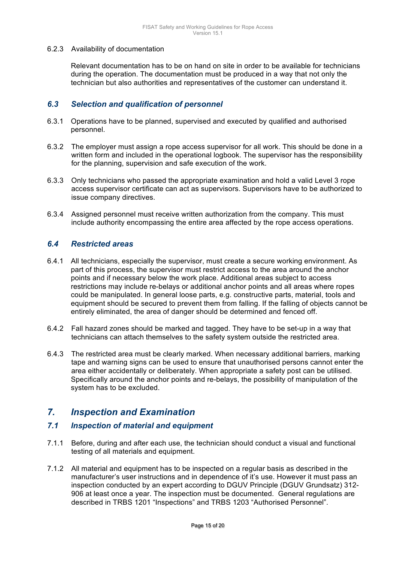#### 6.2.3 Availability of documentation

Relevant documentation has to be on hand on site in order to be available for technicians during the operation. The documentation must be produced in a way that not only the technician but also authorities and representatives of the customer can understand it.

## *6.3 Selection and qualification of personnel*

- 6.3.1 Operations have to be planned, supervised and executed by qualified and authorised personnel.
- 6.3.2 The employer must assign a rope access supervisor for all work. This should be done in a written form and included in the operational logbook. The supervisor has the responsibility for the planning, supervision and safe execution of the work.
- 6.3.3 Only technicians who passed the appropriate examination and hold a valid Level 3 rope access supervisor certificate can act as supervisors. Supervisors have to be authorized to issue company directives.
- 6.3.4 Assigned personnel must receive written authorization from the company. This must include authority encompassing the entire area affected by the rope access operations.

## *6.4 Restricted areas*

- 6.4.1 All technicians, especially the supervisor, must create a secure working environment. As part of this process, the supervisor must restrict access to the area around the anchor points and if necessary below the work place. Additional areas subject to access restrictions may include re-belays or additional anchor points and all areas where ropes could be manipulated. In general loose parts, e.g. constructive parts, material, tools and equipment should be secured to prevent them from falling. If the falling of objects cannot be entirely eliminated, the area of danger should be determined and fenced off.
- 6.4.2 Fall hazard zones should be marked and tagged. They have to be set-up in a way that technicians can attach themselves to the safety system outside the restricted area.
- 6.4.3 The restricted area must be clearly marked. When necessary additional barriers, marking tape and warning signs can be used to ensure that unauthorised persons cannot enter the area either accidentally or deliberately. When appropriate a safety post can be utilised. Specifically around the anchor points and re-belays, the possibility of manipulation of the system has to be excluded.

# *7. Inspection and Examination*

#### *7.1 Inspection of material and equipment*

- 7.1.1 Before, during and after each use, the technician should conduct a visual and functional testing of all materials and equipment.
- 7.1.2 All material and equipment has to be inspected on a regular basis as described in the manufacturer's user instructions and in dependence of it's use. However it must pass an inspection conducted by an expert according to DGUV Principle (DGUV Grundsatz) 312- 906 at least once a year. The inspection must be documented. General regulations are described in TRBS 1201 "Inspections" and TRBS 1203 "Authorised Personnel".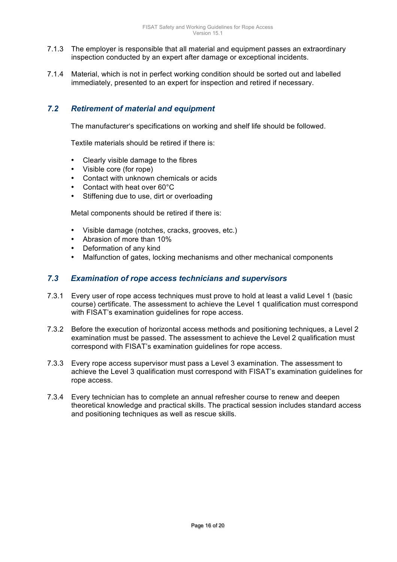- 7.1.3 The employer is responsible that all material and equipment passes an extraordinary inspection conducted by an expert after damage or exceptional incidents.
- 7.1.4 Material, which is not in perfect working condition should be sorted out and labelled immediately, presented to an expert for inspection and retired if necessary.

# *7.2 Retirement of material and equipment*

The manufacturer's specifications on working and shelf life should be followed.

Textile materials should be retired if there is:

- Clearly visible damage to the fibres
- Visible core (for rope)
- Contact with unknown chemicals or acids
- Contact with heat over 60°C
- Stiffening due to use, dirt or overloading

Metal components should be retired if there is:

- Visible damage (notches, cracks, grooves, etc.)
- Abrasion of more than 10%
- Deformation of any kind
- Malfunction of gates, locking mechanisms and other mechanical components

## *7.3 Examination of rope access technicians and supervisors*

- 7.3.1 Every user of rope access techniques must prove to hold at least a valid Level 1 (basic course) certificate. The assessment to achieve the Level 1 qualification must correspond with FISAT's examination guidelines for rope access.
- 7.3.2 Before the execution of horizontal access methods and positioning techniques, a Level 2 examination must be passed. The assessment to achieve the Level 2 qualification must correspond with FISAT's examination guidelines for rope access.
- 7.3.3 Every rope access supervisor must pass a Level 3 examination. The assessment to achieve the Level 3 qualification must correspond with FISAT's examination guidelines for rope access.
- 7.3.4 Every technician has to complete an annual refresher course to renew and deepen theoretical knowledge and practical skills. The practical session includes standard access and positioning techniques as well as rescue skills.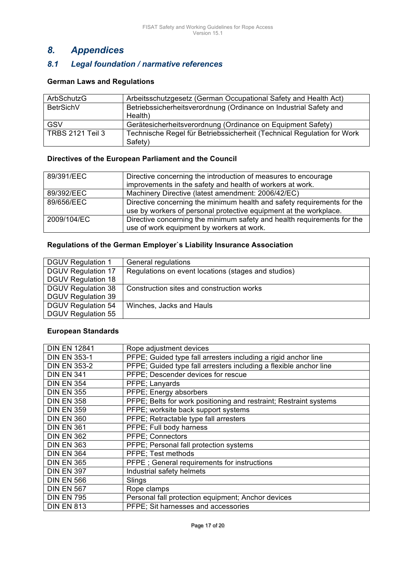# *8. Appendices*

# *8.1 Legal foundation / narmative references*

### **German Laws and Regulations**

| ArbSchutzG              | Arbeitsschutzgesetz (German Occupational Safety and Health Act)        |
|-------------------------|------------------------------------------------------------------------|
| BetrSichV               | Betriebssicherheitsverordnung (Ordinance on Industrial Safety and      |
|                         | Health)                                                                |
| GSV                     | Gerätesicherheitsverordnung (Ordinance on Equipment Safety)            |
| <b>TRBS 2121 Teil 3</b> | Technische Regel für Betriebssicherheit (Technical Regulation for Work |
|                         | Safety)                                                                |

#### **Directives of the European Parliament and the Council**

| 89/391/EEC  | Directive concerning the introduction of measures to encourage          |
|-------------|-------------------------------------------------------------------------|
|             | improvements in the safety and health of workers at work.               |
| 89/392/EEC  | Machinery Directive (latest amendment: 2006/42/EC)                      |
| 89/656/EEC  | Directive concerning the minimum health and safety requirements for the |
|             | use by workers of personal protective equipment at the workplace.       |
| 2009/104/EC | Directive concerning the minimum safety and health requirements for the |
|             | use of work equipment by workers at work.                               |

## **Regulations of the German Employer`s Liability Insurance Association**

| <b>DGUV Regulation 1</b>  | General regulations                                 |
|---------------------------|-----------------------------------------------------|
| <b>DGUV Regulation 17</b> | Regulations on event locations (stages and studios) |
| <b>DGUV Regulation 18</b> |                                                     |
| <b>DGUV Regulation 38</b> | Construction sites and construction works           |
| <b>DGUV Regulation 39</b> |                                                     |
| <b>DGUV Regulation 54</b> | Winches, Jacks and Hauls                            |
| <b>DGUV Regulation 55</b> |                                                     |

#### **European Standards**

| <b>DIN EN 12841</b> | Rope adjustment devices                                           |
|---------------------|-------------------------------------------------------------------|
| <b>DIN EN 353-1</b> | PFPE; Guided type fall arresters including a rigid anchor line    |
| <b>DIN EN 353-2</b> | PFPE; Guided type fall arresters including a flexible anchor line |
| <b>DIN EN 341</b>   | PFPE; Descender devices for rescue                                |
| <b>DIN EN 354</b>   | PFPE; Lanyards                                                    |
| <b>DIN EN 355</b>   | PFPE; Energy absorbers                                            |
| <b>DIN EN 358</b>   | PFPE; Belts for work positioning and restraint; Restraint systems |
| <b>DIN EN 359</b>   | PFPE; worksite back support systems                               |
| <b>DIN EN 360</b>   | PFPE; Retractable type fall arresters                             |
| <b>DIN EN 361</b>   | PFPE; Full body harness                                           |
| <b>DIN EN 362</b>   | <b>PFPE</b> ; Connectors                                          |
| <b>DIN EN 363</b>   | PFPE; Personal fall protection systems                            |
| <b>DIN EN 364</b>   | PFPE; Test methods                                                |
| <b>DIN EN 365</b>   | PFPE; General requirements for instructions                       |
| <b>DIN EN 397</b>   | Industrial safety helmets                                         |
| <b>DIN EN 566</b>   | Slings                                                            |
| <b>DIN EN 567</b>   | Rope clamps                                                       |
| <b>DIN EN 795</b>   | Personal fall protection equipment; Anchor devices                |
| <b>DIN EN 813</b>   | PFPE; Sit harnesses and accessories                               |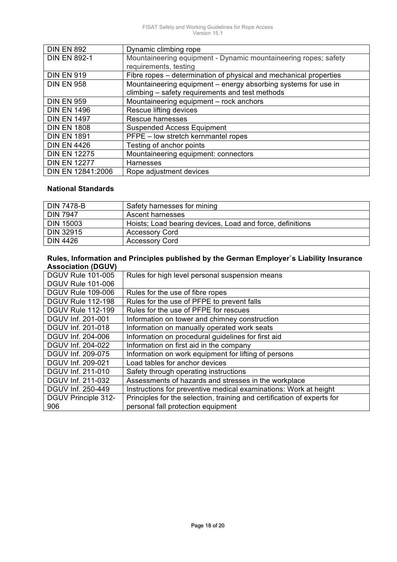| <b>DIN EN 892</b>   | Dynamic climbing rope                                             |
|---------------------|-------------------------------------------------------------------|
| <b>DIN EN 892-1</b> | Mountaineering equipment - Dynamic mountaineering ropes; safety   |
|                     | requirements, testing                                             |
| <b>DIN EN 919</b>   | Fibre ropes – determination of physical and mechanical properties |
| <b>DIN EN 958</b>   | Mountaineering equipment - energy absorbing systems for use in    |
|                     | climbing - safety requirements and test methods                   |
| <b>DIN EN 959</b>   | Mountaineering equipment - rock anchors                           |
| <b>DIN EN 1496</b>  | Rescue lifting devices                                            |
| <b>DIN EN 1497</b>  | Rescue harnesses                                                  |
| <b>DIN EN 1808</b>  | <b>Suspended Access Equipment</b>                                 |
| <b>DIN EN 1891</b>  | PFPE - low stretch kernmantel ropes                               |
| <b>DIN EN 4426</b>  | Testing of anchor points                                          |
| <b>DIN EN 12275</b> | Mountaineering equipment: connectors                              |
| <b>DIN EN 12277</b> | <b>Harnesses</b>                                                  |
| DIN EN 12841:2006   | Rope adjustment devices                                           |

## **National Standards**

| <b>DIN 7478-B</b> | Safety harnesses for mining                               |
|-------------------|-----------------------------------------------------------|
| <b>DIN 7947</b>   | <b>Ascent harnesses</b>                                   |
| <b>DIN 15003</b>  | Hoists; Load bearing devices, Load and force, definitions |
| <b>DIN 32915</b>  | <b>Accessory Cord</b>                                     |
| <b>DIN 4426</b>   | <b>Accessory Cord</b>                                     |

#### **Rules, Information and Principles published by the German Employer`s Liability Insurance Association (DGUV)**

| Rules for high level personal suspension means                          |
|-------------------------------------------------------------------------|
|                                                                         |
| Rules for the use of fibre ropes                                        |
| Rules for the use of PFPE to prevent falls                              |
| Rules for the use of PFPE for rescues                                   |
| Information on tower and chimney construction                           |
| Information on manually operated work seats                             |
| Information on procedural guidelines for first aid                      |
| Information on first aid in the company                                 |
| Information on work equipment for lifting of persons                    |
| Load tables for anchor devices                                          |
| Safety through operating instructions                                   |
| Assessments of hazards and stresses in the workplace                    |
| Instructions for preventive medical examinations: Work at height        |
| Principles for the selection, training and certification of experts for |
| personal fall protection equipment                                      |
|                                                                         |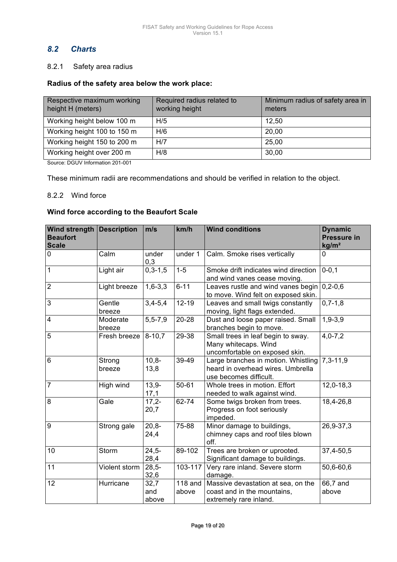# *8.2 Charts*

#### 8.2.1 Safety area radius

#### **Radius of the safety area below the work place:**

| Respective maximum working<br>height H (meters) | Required radius related to<br>working height | Minimum radius of safety area in<br>meters |
|-------------------------------------------------|----------------------------------------------|--------------------------------------------|
| Working height below 100 m                      | H/5                                          | 12,50                                      |
| Working height 100 to 150 m                     | H/6                                          | 20,00                                      |
| Working height 150 to 200 m                     | H/7                                          | 25,00                                      |
| Working height over 200 m                       | H/8                                          | 30,00                                      |

Source: DGUV Information 201-001

These minimum radii are recommendations and should be verified in relation to the object.

#### 8.2.2 Wind force

#### **Wind force according to the Beaufort Scale**

| Wind strength<br><b>Beaufort</b><br><b>Scale</b> | <b>Description</b> | m/s                  | km/h               | <b>Wind conditions</b>                                                                             | <b>Dynamic</b><br><b>Pressure in</b><br>kg/m <sup>2</sup> |  |
|--------------------------------------------------|--------------------|----------------------|--------------------|----------------------------------------------------------------------------------------------------|-----------------------------------------------------------|--|
| 0                                                | Calm               | under<br>0,3         | under 1            | Calm. Smoke rises vertically                                                                       | 0                                                         |  |
| $\mathbf{1}$                                     | Light air          | $0,3-1,5$            | $1 - 5$            | Smoke drift indicates wind direction<br>and wind vanes cease moving.                               | $0 - 0, 1$                                                |  |
| $\overline{2}$                                   | Light breeze       | $1,6-3,3$            | $6 - 11$           | Leaves rustle and wind vanes begin<br>to move. Wind felt on exposed skin.                          | $0, 2 - 0, 6$                                             |  |
| $\overline{3}$                                   | Gentle<br>breeze   | $3,4 - 5,4$          | $12 - 19$          | Leaves and small twigs constantly<br>moving, light flags extended.                                 | $0,7-1,8$                                                 |  |
| $\overline{\mathbf{4}}$                          | Moderate<br>breeze | $5, 5 - 7, 9$        | 20-28              | Dust and loose paper raised. Small<br>branches begin to move.                                      | $1,9-3,9$                                                 |  |
| 5                                                | Fresh breeze       | $8 - 10,7$           | 29-38              | Small trees in leaf begin to sway.<br>Many whitecaps. Wind<br>uncomfortable on exposed skin.       | $4,0 - 7,2$                                               |  |
| $6\phantom{1}$                                   | Strong<br>breeze   | $10,8-$<br>13,8      | 39-49              | Large branches in motion. Whistling<br>heard in overhead wires. Umbrella<br>use becomes difficult. | $7,3-11,9$                                                |  |
| $\overline{7}$                                   | High wind          | $13,9-$<br>17,1      | $50 - 61$          | Whole trees in motion. Effort<br>needed to walk against wind.                                      | $12,0-18,3$                                               |  |
| 8                                                | Gale               | $17.2 -$<br>20,7     | 62-74              | Some twigs broken from trees.<br>Progress on foot seriously<br>impeded.                            | 18,4-26,8                                                 |  |
| 9                                                | Strong gale        | $20,8-$<br>24,4      | 75-88              | Minor damage to buildings,<br>chimney caps and roof tiles blown<br>off.                            | 26,9-37,3                                                 |  |
| 10                                               | Storm              | $24,5-$<br>28,4      | 89-102             | Trees are broken or uprooted.<br>Significant damage to buildings.                                  | 37,4-50,5                                                 |  |
| 11                                               | Violent storm      | $28,5-$<br>32,6      | 103-117            | Very rare inland. Severe storm<br>damage.                                                          | 50,6-60,6                                                 |  |
| 12                                               | Hurricane          | 32,7<br>and<br>above | $118$ and<br>above | Massive devastation at sea, on the<br>coast and in the mountains,<br>extremely rare inland.        | 66,7 and<br>above                                         |  |